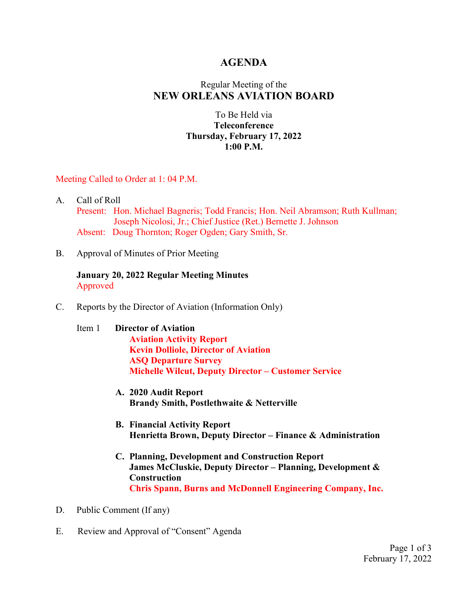### **AGENDA**

### Regular Meeting of the **NEW ORLEANS AVIATION BOARD**

### To Be Held via **Teleconference Thursday, February 17, 2022 1:00 P.M.**

#### Meeting Called to Order at 1: 04 P.M.

- A. Call of Roll Present: Hon. Michael Bagneris; Todd Francis; Hon. Neil Abramson; Ruth Kullman; Joseph Nicolosi, Jr.; Chief Justice (Ret.) Bernette J. Johnson Absent: Doug Thornton; Roger Ogden; Gary Smith, Sr.
- B. Approval of Minutes of Prior Meeting

#### **January 20, 2022 Regular Meeting Minutes** Approved

- C. Reports by the Director of Aviation (Information Only)
	- Item 1 **Director of Aviation Aviation Activity Report Kevin Dolliole, Director of Aviation ASQ Departure Survey Michelle Wilcut, Deputy Director – Customer Service**
		- **A. 2020 Audit Report Brandy Smith, Postlethwaite & Netterville**
		- **B. Financial Activity Report Henrietta Brown, Deputy Director – Finance & Administration**
		- **C. Planning, Development and Construction Report James McCluskie, Deputy Director – Planning, Development & Construction Chris Spann, Burns and McDonnell Engineering Company, Inc.**
- D. Public Comment (If any)
- E. Review and Approval of "Consent" Agenda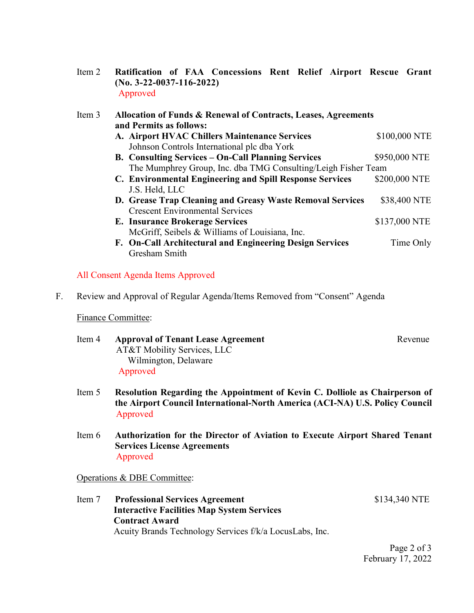Item 2 **Ratification of FAA Concessions Rent Relief Airport Rescue Grant (No. 3-22-0037-116-2022)** Approved

| Item 3 | Allocation of Funds & Renewal of Contracts, Leases, Agreements<br>and Permits as follows: |               |
|--------|-------------------------------------------------------------------------------------------|---------------|
|        | A. Airport HVAC Chillers Maintenance Services                                             | \$100,000 NTE |
|        | Johnson Controls International plc dba York                                               |               |
|        | <b>B. Consulting Services - On-Call Planning Services</b>                                 | \$950,000 NTE |
|        | The Mumphrey Group, Inc. dba TMG Consulting/Leigh Fisher Team                             |               |
|        | C. Environmental Engineering and Spill Response Services                                  | \$200,000 NTE |
|        | J.S. Held, LLC                                                                            |               |
|        | D. Grease Trap Cleaning and Greasy Waste Removal Services                                 | \$38,400 NTE  |
|        | <b>Crescent Environmental Services</b>                                                    |               |
|        | <b>E. Insurance Brokerage Services</b>                                                    | \$137,000 NTE |
|        | McGriff, Seibels & Williams of Louisiana, Inc.                                            |               |
|        | F. On-Call Architectural and Engineering Design Services                                  | Time Only     |
|        | Gresham Smith                                                                             |               |

#### All Consent Agenda Items Approved

F. Review and Approval of Regular Agenda/Items Removed from "Consent" Agenda

#### Finance Committee:

- Item 4 **Approval of Tenant Lease Agreement** Revenue AT&T Mobility Services, LLC Wilmington, Delaware Approved
- Item 5 **Resolution Regarding the Appointment of Kevin C. Dolliole as Chairperson of the Airport Council International-North America (ACI-NA) U.S. Policy Council** Approved
- Item 6 **Authorization for the Director of Aviation to Execute Airport Shared Tenant Services License Agreements** Approved

#### Operations & DBE Committee:

Item 7 **Professional Services Agreement** \$134,340 NTE  **Interactive Facilities Map System Services Contract Award** Acuity Brands Technology Services f/k/a LocusLabs, Inc.